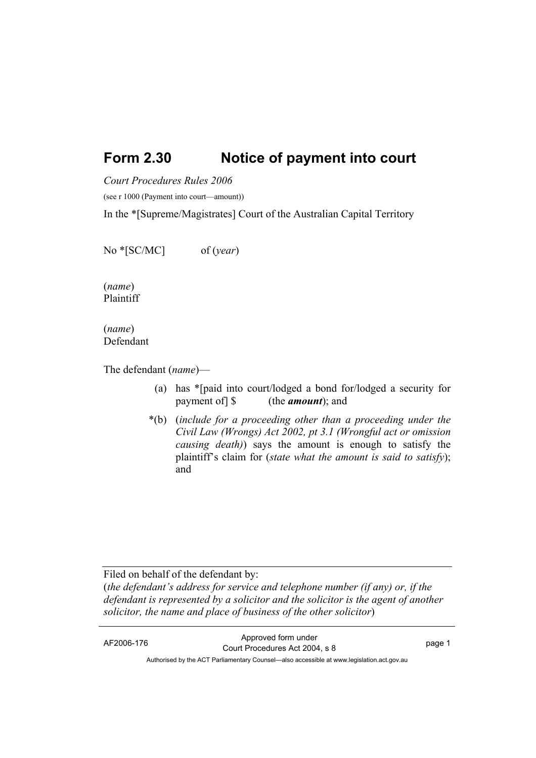## **Form 2.30 Notice of payment into court**

*Court Procedures Rules 2006*

(see r 1000 (Payment into court—amount))

In the \*[Supreme/Magistrates] Court of the Australian Capital Territory

No \*[SC/MC] of (*year*)

(*name*) Plaintiff

(*name*) Defendant

The defendant (*name*)—

- (a) has \*[paid into court/lodged a bond for/lodged a security for payment of] \$ (the *amount*); and
- \*(b) (*include for a proceeding other than a proceeding under the Civil Law (Wrongs) Act 2002, pt 3.1 (Wrongful act or omission causing death)*) says the amount is enough to satisfy the plaintiff's claim for (*state what the amount is said to satisfy*); and

Filed on behalf of the defendant by:

(*the defendant's address for service and telephone number (if any) or, if the defendant is represented by a solicitor and the solicitor is the agent of another solicitor, the name and place of business of the other solicitor*)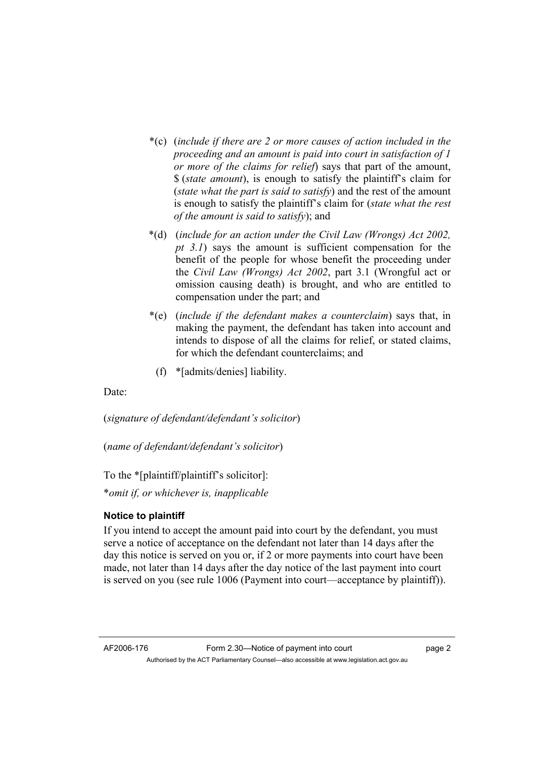- \*(c) (*include if there are 2 or more causes of action included in the proceeding and an amount is paid into court in satisfaction of 1 or more of the claims for relief*) says that part of the amount, \$ (*state amount*), is enough to satisfy the plaintiff's claim for (*state what the part is said to satisfy*) and the rest of the amount is enough to satisfy the plaintiff's claim for (*state what the rest of the amount is said to satisfy*); and
- \*(d) (*include for an action under the Civil Law (Wrongs) Act 2002, pt 3.1*) says the amount is sufficient compensation for the benefit of the people for whose benefit the proceeding under the *Civil Law (Wrongs) Act 2002*, part 3.1 (Wrongful act or omission causing death) is brought, and who are entitled to compensation under the part; and
- \*(e) (*include if the defendant makes a counterclaim*) says that, in making the payment, the defendant has taken into account and intends to dispose of all the claims for relief, or stated claims, for which the defendant counterclaims; and
	- (f) \*[admits/denies] liability.

Date:

(*signature of defendant/defendant's solicitor*)

(*name of defendant/defendant's solicitor*)

To the \*[plaintiff/plaintiff's solicitor]:

\**omit if, or whichever is, inapplicable* 

## **Notice to plaintiff**

If you intend to accept the amount paid into court by the defendant, you must serve a notice of acceptance on the defendant not later than 14 days after the day this notice is served on you or, if 2 or more payments into court have been made, not later than 14 days after the day notice of the last payment into court is served on you (see rule 1006 (Payment into court—acceptance by plaintiff)).